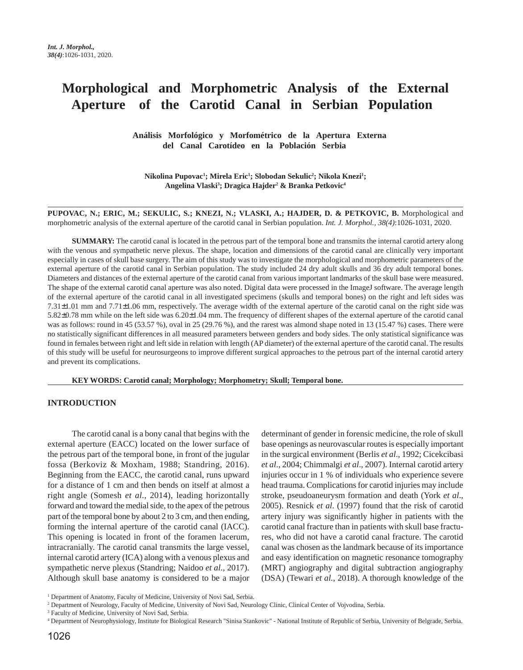# **Morphological and Morphometric Analysis of the External Aperture of the Carotid Canal in Serbian Population**

 **Análisis Morfológico y Morfométrico de la Apertura Externa del Canal Carotídeo en la Población Serbia**

**Nikolina Pupovac1 ; Mirela Eric1 ; Slobodan Sekulic2 ; Nikola Knezi1 ; Angelina Vlaski3 ; Dragica Hajder2 & Branka Petkovic4**

**PUPOVAC, N.; ERIC, M.; SEKULIC, S.; KNEZI, N.; VLASKI, A.; HAJDER, D. & PETKOVIC, B.** Morphological and morphometric analysis of the external aperture of the carotid canal in Serbian population. *Int. J. Morphol., 38(4)*:1026-1031, 2020.

**SUMMARY:** The carotid canal is located in the petrous part of the temporal bone and transmits the internal carotid artery along with the venous and sympathetic nerve plexus. The shape, location and dimensions of the carotid canal are clinically very important especially in cases of skull base surgery. The aim of this study was to investigate the morphological and morphometric parameters of the external aperture of the carotid canal in Serbian population. The study included 24 dry adult skulls and 36 dry adult temporal bones. Diameters and distances of the external aperture of the carotid canal from various important landmarks of the skull base were measured. The shape of the external carotid canal aperture was also noted. Digital data were processed in the ImageJ software. The average length of the external aperture of the carotid canal in all investigated specimens (skulls and temporal bones) on the right and left sides was 7.31±1.01 mm and 7.71±1.06 mm, respectively. The average width of the external aperture of the carotid canal on the right side was 5.82±0.78 mm while on the left side was 6.20±1.04 mm. The frequency of different shapes of the external aperture of the carotid canal was as follows: round in 45 (53.57 %), oval in 25 (29.76 %), and the rarest was almond shape noted in 13 (15.47 %) cases. There were no statistically significant differences in all measured parameters between genders and body sides. The only statistical significance was found in females between right and left side in relation with length (AP diameter) of the external aperture of the carotid canal. The results of this study will be useful for neurosurgeons to improve different surgical approaches to the petrous part of the internal carotid artery and prevent its complications.

**KEY WORDS: Carotid canal; Morphology; Morphometry; Skull; Temporal bone.**

## **INTRODUCTION**

The carotid canal is a bony canal that begins with the external aperture (EACC) located on the lower surface of the petrous part of the temporal bone, in front of the jugular fossa (Berkoviz & Moxham, 1988; Standring, 2016). Beginning from the EACC, the carotid canal, runs upward for a distance of 1 cm and then bends on itself at almost a right angle (Somesh *et al*., 2014), leading horizontally forward and toward the medial side, to the apex of the petrous part of the temporal bone by about 2 to 3 cm, and then ending, forming the internal aperture of the carotid canal (IACC). This opening is located in front of the foramen lacerum, intracranially. The carotid canal transmits the large vessel, internal carotid artery (ICA) along with a venous plexus and sympathetic nerve plexus (Standring; Naidoo *et al*., 2017). Although skull base anatomy is considered to be a major

determinant of gender in forensic medicine, the role of skull base openings as neurovascular routes is especially important in the surgical environment (Berlis *et al*., 1992; Cicekcibasi *et al*., 2004; Chimmalgi *et al*., 2007). Internal carotid artery injuries occur in 1 % of individuals who experience severe head trauma. Complications for carotid injuries may include stroke, pseudoaneurysm formation and death (York *et al*., 2005). Resnick *et al*. (1997) found that the risk of carotid artery injury was significantly higher in patients with the carotid canal fracture than in patients with skull base fractures, who did not have a carotid canal fracture. The carotid canal was chosen as the landmark because of its importance and easy identification on magnetic resonance tomography (MRT) angiography and digital subtraction angiography (DSA) (Tewari *et al.*, 2018). A thorough knowledge of the

<sup>&</sup>lt;sup>1</sup> Department of Anatomy, Faculty of Medicine, University of Novi Sad, Serbia.

<sup>2</sup> Department of Neurology, Faculty of Medicine, University of Novi Sad, Neurology Clinic, Clinical Center of Vojvodina, Serbia.

<sup>&</sup>lt;sup>3</sup> Faculty of Medicine, University of Novi Sad, Serbia.

<sup>4</sup> Department of Neurophysiology, Institute for Biological Research "Sinisa Stankovic" - National Institute of Republic of Serbia, University of Belgrade, Serbia.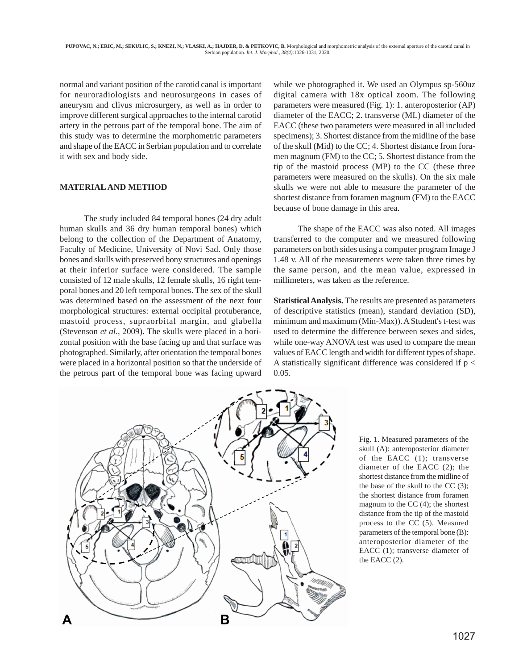normal and variant position of the carotid canal is important for neuroradiologists and neurosurgeons in cases of aneurysm and clivus microsurgery, as well as in order to improve different surgical approaches to the internal carotid artery in the petrous part of the temporal bone. The aim of this study was to determine the morphometric parameters and shape of the EACC in Serbian population and to correlate it with sex and body side.

## **MATERIAL AND METHOD**

The study included 84 temporal bones (24 dry adult human skulls and 36 dry human temporal bones) which belong to the collection of the Department of Anatomy, Faculty of Medicine, University of Novi Sad. Only those bones and skulls with preserved bony structures and openings at their inferior surface were considered. The sample consisted of 12 male skulls, 12 female skulls, 16 right temporal bones and 20 left temporal bones. The sex of the skull was determined based on the assessment of the next four morphological structures: external occipital protuberance, mastoid process, supraorbital margin, and glabella (Stevenson *et al*., 2009). The skulls were placed in a horizontal position with the base facing up and that surface was photographed. Similarly, after orientation the temporal bones were placed in a horizontal position so that the underside of the petrous part of the temporal bone was facing upward

while we photographed it. We used an Olympus sp-560uz digital camera with 18x optical zoom. The following parameters were measured (Fig. 1): 1. anteroposterior (AP) diameter of the EACC; 2. transverse (ML) diameter of the EACC (these two parameters were measured in all included specimens); 3. Shortest distance from the midline of the base of the skull (Mid) to the CC; 4. Shortest distance from foramen magnum (FM) to the CC; 5. Shortest distance from the tip of the mastoid process (MP) to the CC (these three parameters were measured on the skulls). On the six male skulls we were not able to measure the parameter of the shortest distance from foramen magnum (FM) to the EACC because of bone damage in this area.

The shape of the EACC was also noted. All images transferred to the computer and we measured following parameters on both sides using a computer program Image J 1.48 v. All of the measurements were taken three times by the same person, and the mean value, expressed in millimeters, was taken as the reference.

**Statistical Analysis.** The results are presented as parameters of descriptive statistics (mean), standard deviation (SD), minimum and maximum (Min-Max)). A Student's t-test was used to determine the difference between sexes and sides, while one-way ANOVA test was used to compare the mean values of EACC length and width for different types of shape. A statistically significant difference was considered if  $p <$ 0.05.



Fig. 1. Measured parameters of the skull (A): anteroposterior diameter of the EACC (1); transverse diameter of the EACC (2); the shortest distance from the midline of the base of the skull to the CC (3); the shortest distance from foramen magnum to the CC (4); the shortest distance from the tip of the mastoid process to the CC (5). Measured parameters of the temporal bone (B): anteroposterior diameter of the EACC (1); transverse diameter of the EACC (2).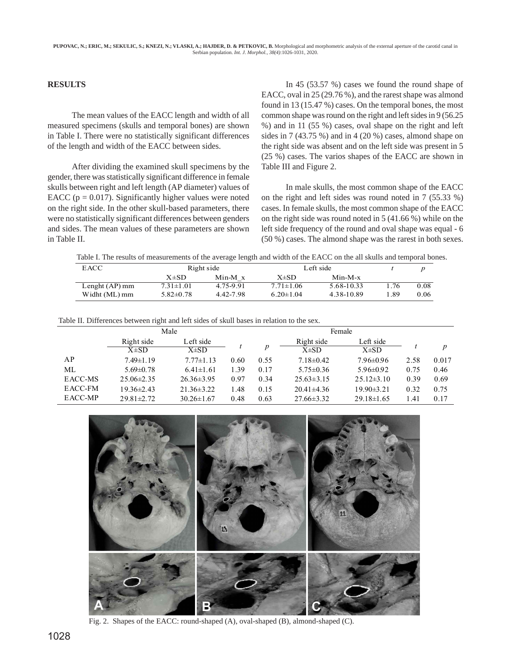# **RESULTS**

The mean values of the EACC length and width of all measured specimens (skulls and temporal bones) are shown in Table I. There were no statistically significant differences of the length and width of the EACC between sides.

After dividing the examined skull specimens by the gender, there was statistically significant difference in female skulls between right and left length (AP diameter) values of EACC ( $p = 0.017$ ). Significantly higher values were noted on the right side. In the other skull-based parameters, there were no statistically significant differences between genders and sides. The mean values of these parameters are shown in Table II.

In 45 (53.57 %) cases we found the round shape of EACC, oval in 25 (29.76 %), and the rarest shape was almond found in 13 (15.47 %) cases. On the temporal bones, the most common shape was round on the right and left sides in 9 (56.25 %) and in 11 (55 %) cases, oval shape on the right and left sides in 7 (43.75 %) and in 4 (20 %) cases, almond shape on the right side was absent and on the left side was present in 5 (25 %) cases. The varios shapes of the EACC are shown in Table III and Figure 2.

In male skulls, the most common shape of the EACC on the right and left sides was round noted in 7 (55.33 %) cases. In female skulls, the most common shape of the EACC on the right side was round noted in 5 (41.66 %) while on the left side frequency of the round and oval shape was equal - 6 (50 %) cases. The almond shape was the rarest in both sexes.

Table I. The results of measurements of the average length and width of the EACC on the all skulls and temporal bones.

| EACC.            |                 | Right side     |                               | Left side  |      |      |
|------------------|-----------------|----------------|-------------------------------|------------|------|------|
|                  | $X\pm SD$       | $Min-M \times$ | $X\pm SD$                     | $Min-M-x$  |      |      |
| Lenght $(AP)$ mm | $7.31 \pm 1.01$ | 4.75-9.91      | 5.68-10.33<br>$7.71 \pm 1.06$ |            | 1.76 | 0.08 |
| Widht (ML) mm    | $5.82\pm0.78$   | 4.42-7.98      | $6.20 \pm 1.04$               | 4.38-10.89 | .89  | 0.06 |

| Table II. Differences between right and left sides of skull bases in relation to the sex. |  |  |  |  |
|-------------------------------------------------------------------------------------------|--|--|--|--|
|                                                                                           |  |  |  |  |

|         |                         | Male                   |      |      | Female                  |                        |      |       |
|---------|-------------------------|------------------------|------|------|-------------------------|------------------------|------|-------|
|         | Right side<br>$X\pm SD$ | Left side<br>$X\pm SD$ |      | n    | Right side<br>$X\pm SD$ | Left side<br>$X\pm SD$ |      | D     |
| AP      | $7.49 \pm 1.19$         | $7.77 \pm 1.13$        | 0.60 | 0.55 | $7.18 \pm 0.42$         | $7.96 \pm 0.96$        | 2.58 | 0.017 |
| ML      | $5.69 \pm 0.78$         | $6.41 \pm 1.61$        | 1.39 | 0.17 | $5.75 \pm 0.36$         | $5.96 \pm 0.92$        | 0.75 | 0.46  |
| EACC-MS | $25.06 \pm 2.35$        | $26.36 \pm 3.95$       | 0.97 | 0.34 | $25.63 \pm 3.15$        | $25.12 \pm 3.10$       | 0.39 | 0.69  |
| EACC-FM | $19.36 \pm 2.43$        | $21.36 \pm 3.22$       | .48  | 0.15 | $20.41 \pm 4.36$        | $19.90 \pm 3.21$       | 0.32 | 0.75  |
| EACC-MP | $29.81 \pm 2.72$        | $30.26 \pm 1.67$       | 0.48 | 0.63 | $27.66 \pm 3.32$        | $29.18 \pm 1.65$       | 1.41 | 0.17  |



Fig. 2. Shapes of the EACC: round-shaped (A), oval-shaped (B), almond-shaped (C).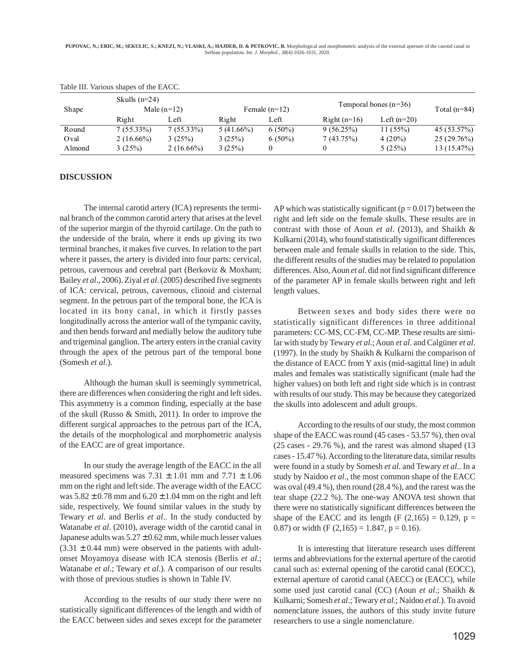**PUPOVAC, N.; ERIC, M.; SEKULIC, S.; KNEZI, N.; VLASKI, A.; HAJDER, D. & PETKOVIC, B.** Morphological and morphometric analysis of the external aperture of the carotid canal in Serbian population. *Int. J. Morphol., 38(4)*:1026-1031, 2020.

|        | Skulls $(n=24)$ |                       |              |                         |                | Temporal bones $(n=36)$ |                |
|--------|-----------------|-----------------------|--------------|-------------------------|----------------|-------------------------|----------------|
| Shape  | Right           | Male $(n=12)$<br>Left | Right        | Female $(n=12)$<br>Left | Right $(n=16)$ | Left $(n=20)$           | Total $(n=84)$ |
| Round  | $7(55.33\%)$    | $7(55.33\%)$          | $5(41.66\%)$ | $6(50\%)$               | $9(56.25\%)$   | 11(55%)                 | 45 (53.57%)    |
| Oval   | $2(16.66\%)$    | 3(25%)                | 3(25%)       | $6(50\%)$               | 7(43.75%)      | 4 $(20\%)$              | $25(29.76\%)$  |
| Almond | 3(25%)          | $2(16.66\%)$          | 3(25%)       |                         |                | 5(25%)                  | 13(15.47%)     |

#### Table III. Various shapes of the EACC.

### **DISCUSSION**

The internal carotid artery (ICA) represents the terminal branch of the common carotid artery that arises at the level of the superior margin of the thyroid cartilage. On the path to the underside of the brain, where it ends up giving its two terminal branches, it makes five curves. In relation to the part where it passes, the artery is divided into four parts: cervical, petrous, cavernous and cerebral part (Berkoviz & Moxham; Bailey *et al*., 2006). Ziyal *et al*. (2005) described five segments of ICA: cervical, petrous, cavernous, clinoid and cisternal segment. In the petrous part of the temporal bone, the ICA is located in its bony canal, in which it firstly passes longitudinally across the anterior wall of the tympanic cavity, and then bends forward and medially below the auditory tube and trigeminal ganglion. The artery enters in the cranial cavity through the apex of the petrous part of the temporal bone (Somesh *et al*.).

Although the human skull is seemingly symmetrical, there are differences when considering the right and left sides. This asymmetry is a common finding, especially at the base of the skull (Russo & Smith, 2011). In order to improve the different surgical approaches to the petrous part of the ICA, the details of the morphological and morphometric analysis of the EACC are of great importance.

In our study the average length of the EACC in the all measured specimens was  $7.31 \pm 1.01$  mm and  $7.71 \pm 1.06$ mm on the right and left side. The average width of the EACC was  $5.82 \pm 0.78$  mm and  $6.20 \pm 1.04$  mm on the right and left side, respectively. We found similar values in the study by Tewary *et al*. and Berlis *et al*.. In the study conducted by Watanabe *et al*. (2010), average width of the carotid canal in Japanese adults was  $5.27 \pm 0.62$  mm, while much lesser values  $(3.31 \pm 0.44 \text{ mm})$  were observed in the patients with adultonset Moyamoya disease with ICA stenosis (Berlis *et al*.; Watanabe *et al*.; Tewary *et al*.). A comparison of our results with those of previous studies is shown in Table IV.

According to the results of our study there were no statistically significant differences of the length and width of the EACC between sides and sexes except for the parameter AP which was statistically significant ( $p = 0.017$ ) between the right and left side on the female skulls. These results are in contrast with those of Aoun *et al*. (2013), and Shaikh & Kulkarni (2014), who found statistically significant differences between male and female skulls in relation to the side. This, the different results of the studies may be related to population differences. Also, Aoun *et al*. did not find significant difference of the parameter AP in female skulls between right and left length values.

Between sexes and body sides there were no statistically significant differences in three additional parameters: CC-MS, CC-FM, CC-MP. These results are similar with study by Tewary *et al*.; Aoun *et al*. and Calgüner *et al*. (1997). In the study by Shaikh & Kulkarni the comparison of the distance of EACC from Y axis (mid-sagittal line) in adult males and females was statistically significant (male had the higher values) on both left and right side which is in contrast with results of our study. This may be because they categorized the skulls into adolescent and adult groups.

According to the results of our study, the most common shape of the EACC was round (45 cases - 53.57 %), then oval (25 cases - 29.76 %), and the rarest was almond shaped (13 cases - 15.47 %). According to the literature data, similar results were found in a study by Somesh *et al*. and Tewary *et al*.. In a study by Naidoo *et al*., the most common shape of the EACC was oval (49.4 %), then round (28.4 %), and the rarest was the tear shape (22.2 %). The one-way ANOVA test shown that there were no statistically significant differences between the shape of the EACC and its length  $(F (2,165) = 0.129, p =$ 0.87) or width  $(F (2,165) = 1.847, p = 0.16)$ .

It is interesting that literature research uses different terms and abbreviations for the external aperture of the carotid canal such as: external opening of the carotid canal (EOCC), external aperture of carotid canal (AECC) or (EACC), while some used just carotid canal (CC) (Aoun *et al*.; Shaikh & Kulkarni; Somesh *et al*.; Tewary *et al*.; Naidoo *et al*.). To avoid nomenclature issues, the authors of this study invite future researchers to use a single nomenclature.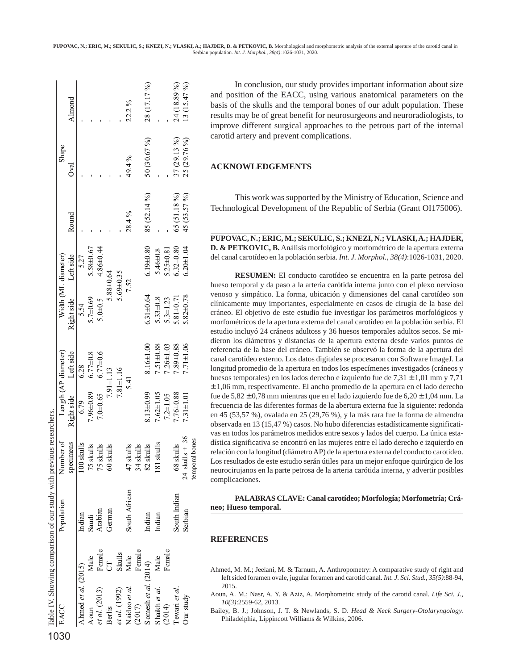|                      |                | Table IV. Showing comparison of our study with previous researchers. |                  |                              |                 |                      |                     |              |              |              |
|----------------------|----------------|----------------------------------------------------------------------|------------------|------------------------------|-----------------|----------------------|---------------------|--------------|--------------|--------------|
| EACC                 |                | Population                                                           | Number of        | $L$ ength (AP diameter)      |                 |                      | Width (ML diameter) |              | Shape        |              |
|                      |                |                                                                      | specimens        | Right side Left side         |                 | Right side Left side |                     | Round        | Oval         | Almond       |
| Ahmed et al. (2015)  |                | Indian                                                               | 100 skulls       | 6.79                         | 6.28            | 5.54                 | 5.27                |              |              |              |
| Aoun                 | Male           | Saudi                                                                | 75 skulls        | $7.96 \pm 0.89$              | $6.77 \pm 0.8$  | $5.7 + 0.69$         | 5.58±0.67           |              |              |              |
| et al. (2013)        | Femal e        | Arabian                                                              | 75 skulls        | $7.0\pm 0.65$ 6.77 $\pm 0.6$ |                 | 5.040.5              | $4.86 + 0.44$       |              |              |              |
| Berlis               | $\overline{C}$ | German                                                               | 60 skulls        |                              | $7.91 \pm 1.13$ |                      | $5.88 \pm 0.64$     |              |              |              |
| et al. (1992)        | Skulls         |                                                                      |                  |                              | $7.81 \pm 1.16$ |                      | $5.69 \pm 0.35$     |              |              |              |
| Naidoo et al.        | Male           | South African                                                        | 47 skulls        |                              | 5.41            |                      | 7.52                | 28.4%        | 49.4%        | 22.2%        |
| (2017)               | Femal e        |                                                                      | 34 skulls        |                              |                 |                      |                     |              |              |              |
| Somesh et al. (2014) |                | Indian                                                               | 82 skulls        | $3.13 \pm 0.99$              | $8.16 \pm 1.00$ | $6.31 + 0.64$        | $6.19 + 0.80$       | 85 (52.14 %) | 50 (30.67 %) | 28 (17.17 %) |
| Shaikh et al.        | Male           | Indian                                                               | 181 skulls       | $7.62 \pm 1.05$              | $7.51 \pm 0.88$ | $5.33 + 0.8$         | $5.46 \pm 0.8$      |              |              |              |
| (2014)               | Femal e        |                                                                      |                  | $7.2 \pm 1.05$               | $7.26 \pm 1.03$ | $5.3 + 1.23$         | $5.25 \pm 0.81$     |              |              |              |
| Tewari et al.        |                | South Indian                                                         | 68 skulls        | 7.76±0.88                    | 7.89±0.88       | $5.81 + 0.71$        | $5.32\pm0.80$       | 65 (51.18 %) | 37 (29.13 %) | 24 (18.89 %) |
| Our study            |                | Serbian                                                              | $24$ skulls + 36 | $7.31 \pm 1.01$              | $7.71 \pm 1.06$ | $.82 + 0.78$         | $5.20 + 1.04$       | 45 (53.57 %) | 25 (29.76%)  | 13 (15.47 %) |
|                      |                |                                                                      | temporal bones   |                              |                 |                      |                     |              |              |              |

In conclusion, our study provides important information about size and position of the EACC, using various anatomical parameters on the basis of the skulls and the temporal bones of our adult population. These results may be of great benefit for neurosurgeons and neuroradiologists, to improve different surgical approaches to the petrous part of the internal carotid artery and prevent complications.

## **ACKNOWLEDGEMENTS**

This work was supported by the Ministry of Education, Science and Technological Development of the Republic of Serbia (Grant OI175006).

**PUPOVAC, N.; ERIC, M.; SEKULIC, S.; KNEZI, N.; VLASKI, A.; HAJDER, D. & PETKOVIC, B.** Análisis morfológico y morfométrico de la apertura externa del canal carotídeo en la población serbia. *Int. J. Morphol., 38(4)*:1026-1031, 2020.

**RESUMEN:** El conducto carotídeo se encuentra en la parte petrosa del hueso temporal y da paso a la arteria carótida interna junto con el plexo nervioso venoso y simpático. La forma, ubicación y dimensiones del canal carotídeo son clínicamente muy importantes, especialmente en casos de cirugía de la base del cráneo. El objetivo de este estudio fue investigar los parámetros morfológicos y morfométricos de la apertura externa del canal carotídeo en la población serbia. El estudio incluyó 24 cráneos adultoss y 36 huesos temporales adultos secos. Se midieron los diámetros y distancias de la apertura externa desde varios puntos de referencia de la base del cráneo. También se observó la forma de la apertura del canal carotídeo externo. Los datos digitales se procesaron con Software ImageJ. La longitud promedio de la apertura en todos los especímenes investigados (cráneos y huesos temporales) en los lados derecho e izquierdo fue de 7,31 ± 1,01 mm y 7,71 ± 1,06 mm, respectivamente. El ancho promedio de la apertura en el lado derecho fue de  $5,82 \pm 0,78$  mm mientras que en el lado izquierdo fue de  $6,20 \pm 1,04$  mm. La frecuencia de las diferentes formas de la abertura externa fue la siguiente: redonda en 45 (53,57 %), ovalada en 25 (29,76 %), y la más rara fue la forma de almendra observada en 13 (15,47 %) casos. No hubo diferencias estadísticamente significativas en todos los parámetros medidos entre sexos y lados del cuerpo. La única estadística significativa se encontró en las mujeres entre el lado derecho e izquierdo en relación con la longitud (diámetro AP) de la apertura externa del conducto carotídeo. Los resultados de este estudio serán útiles para un mejor enfoque quirúrgico de los neurocirujanos en la parte petrosa de la arteria carótida interna, y advertir posibles complicaciones.

**PALABRAS CLAVE: Canal carotídeo; Morfología; Morfometría; Cráneo; Hueso temporal.**

## **REFERENCES**

- Ahmed, M. M.; Jeelani, M. & Tarnum, A. Anthropometry: A comparative study of right and left sided foramen ovale, jugular foramen and carotid canal. *Int. J. Sci. Stud., 35(5)*:88-94, 2015.
- Aoun, A. M.; Nasr, A. Y. & Aziz, A. Morphometric study of the carotid canal. *Life Sci. J., 10(3)*:2559-62, 2013.
- Bailey, B. J.; Johnson, J. T. & Newlands, S. D. *Head & Neck Surgery-Otolaryngology.* Philadelphia, Lippincott Williams & Wilkins, 2006.